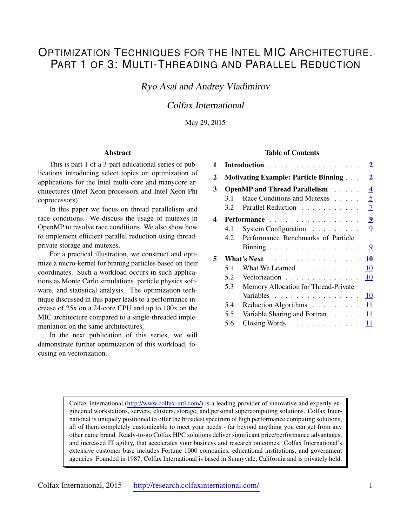# OPTIMIZATION TECHNIQUES FOR THE INTEL MIC ARCHITECTURE. PART 1 OF 3: MULTI-THREADING AND PARALLEL REDUCTION

Ryo Asai and Andrey Vladimirov

# Colfax International

May 29, 2015

#### Abstract

This is part 1 of a 3-part educational series of publications introducing select topics on optimization of applications for the Intel multi-core and manycore architectures (Intel Xeon processors and Intel Xeon Phi coprocessors).

In this paper we focus on thread parallelism and race conditions. We discuss the usage of mutexes in OpenMP to resolve race conditions. We also show how to implement efficient parallel reduction using threadprivate storage and mutexes.

For a practical illustration, we construct and optimize a micro-kernel for binning particles based on their coordinates. Such a workload occurs in such applications as Monte Carlo simulations, particle physics software, and statistical analysis. The optimization technique discussed in this paper leads to a performance increase of 25x on a 24-core CPU and up to 100x on the MIC architecture compared to a single-threaded implementation on the same architectures.

In the next publication of this series, we will demonstrate further optimization of this workload, focusing on vectorization.

#### Table of Contents

| 1 | $\overline{2}$<br>Introduction |                                                                 |  |
|---|--------------------------------|-----------------------------------------------------------------|--|
| 2 |                                | $\overline{2}$<br><b>Motivating Example: Particle Binning </b>  |  |
| 3 |                                | $\overline{\mathbf{4}}$<br><b>OpenMP</b> and Thread Parallelism |  |
|   | 31                             | 5<br>Race Conditions and Mutexes                                |  |
|   | 3.2                            | 7<br>Parallel Reduction                                         |  |
| 4 |                                | $\overline{9}$<br>Performance                                   |  |
|   | 4.1                            | 9<br>System Configuration                                       |  |
|   | 4.2                            | Performance Benchmarks of Particle                              |  |
|   |                                | 9<br>Binning                                                    |  |
| 5 |                                | 10<br>What's Next                                               |  |
|   | 5.1                            | 10<br>What We Learned                                           |  |
|   | 5.2                            | 10<br>Vectorization                                             |  |
|   | 5.3                            | Memory Allocation for Thread-Private                            |  |
|   |                                | 10<br>Variables                                                 |  |
|   | 5.4                            | 11<br>Reduction Algorithms                                      |  |
|   | 5.5                            | Variable Sharing and Fortran<br>11                              |  |
|   | 5.6                            | 11<br>Closing Words                                             |  |

Colfax International [\(http://www.colfax-intl.com/\)](http://www.colfax-intl.com) is a leading provider of innovative and expertly engineered workstations, servers, clusters, storage, and personal supercomputing solutions. Colfax International is uniquely positioned to offer the broadest spectrum of high performance computing solutions, all of them completely customizable to meet your needs - far beyond anything you can get from any other name brand. Ready-to-go Colfax HPC solutions deliver significant price/performance advantages, and increased IT agility, that accelerates your business and research outcomes. Colfax International's extensive customer base includes Fortune 1000 companies, educational institutions, and government agencies. Founded in 1987, Colfax International is based in Sunnyvale, California and is privately held.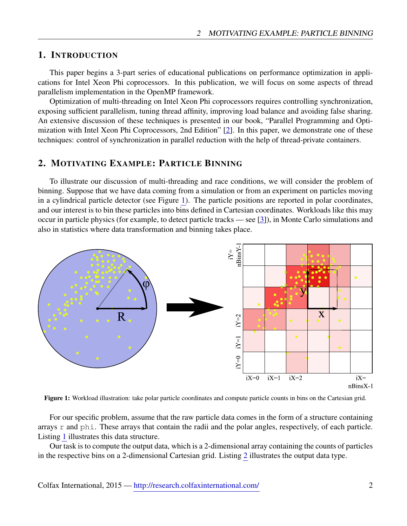# <span id="page-1-0"></span>1. INTRODUCTION

This paper begins a 3-part series of educational publications on performance optimization in applications for Intel Xeon Phi coprocessors. In this publication, we will focus on some aspects of thread parallelism implementation in the OpenMP framework.

Optimization of multi-threading on Intel Xeon Phi coprocessors requires controlling synchronization, exposing sufficient parallelism, tuning thread affinity, improving load balance and avoiding false sharing. An extensive discussion of these techniques is presented in our book, "Parallel Programming and Optimization with Intel Xeon Phi Coprocessors, 2nd Edition" [\[2\]](#page-10-3). In this paper, we demonstrate one of these techniques: control of synchronization in parallel reduction with the help of thread-private containers.

# <span id="page-1-1"></span>2. MOTIVATING EXAMPLE: PARTICLE BINNING

To illustrate our discussion of multi-threading and race conditions, we will consider the problem of binning. Suppose that we have data coming from a simulation or from an experiment on particles moving in a cylindrical particle detector (see Figure [1\)](#page-1-2). The particle positions are reported in polar coordinates, and our interest is to bin these particles into bins defined in Cartesian coordinates. Workloads like this may occur in particle physics (for example, to detect particle tracks — see [\[3\]](#page-10-4)), in Monte Carlo simulations and also in statistics where data transformation and binning takes place.

<span id="page-1-2"></span>

Figure 1: Workload illustration: take polar particle coordinates and compute particle counts in bins on the Cartesian grid.

For our specific problem, assume that the raw particle data comes in the form of a structure containing arrays r and phi. These arrays that contain the radii and the polar angles, respectively, of each particle. Listing [1](#page-2-0) illustrates this data structure.

Our task is to compute the output data, which is a 2-dimensional array containing the counts of particles in the respective bins on a 2-dimensional Cartesian grid. Listing [2](#page-2-1) illustrates the output data type.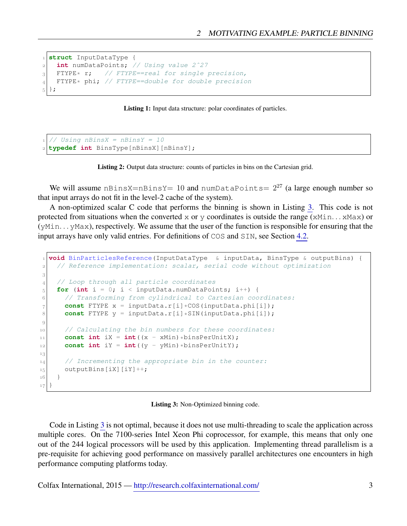```
 struct InputDataType {
    int numDataPoints; // Using value 2ˆ27
_3 FTYPE* r; // FTYPE==real for single precision,
_4 FTYPE* phi; // FTYPE==double for double precision
5\};
```
Listing 1: Input data structure: polar coordinates of particles.

```
 // Using nBinsX = nBinsY = 10
 typedef int BinsType[nBinsX][nBinsY];
```
Listing 2: Output data structure: counts of particles in bins on the Cartesian grid.

We will assume nBinsX=nBinsY= 10 and numDataPoints=  $2^{27}$  (a large enough number so that input arrays do not fit in the level-2 cache of the system).

A non-optimized scalar C code that performs the binning is shown in Listing [3.](#page-2-2) This code is not protected from situations when the converted x or y coordinates is outside the range ( $xMin...xMax$ ) or (yMin. . . yMax), respectively. We assume that the user of the function is responsible for ensuring that the input arrays have only valid entries. For definitions of COS and SIN, see Section [4.2.](#page-8-2)

```
 void BinParticlesReference(InputDataType & inputData, BinsType & outputBins) {
     // Reference implementation: scalar, serial code without optimization
3
 // Loop through all particle coordinates
\mathbf{for} (int i = 0; i < inputData.numDataPoints; i++) {
 // Transforming from cylindrical to Cartesian coordinates:
7 const FTYPE x = inputData.r[i]*COS(inputData.phi[i]);
8 const FTYPE y = inputData.r[i]*SIM(inputData.php[i]);
9
10 // Calculating the bin numbers for these coordinates:
\begin{bmatrix} 11 \end{bmatrix} const int iX = int ((x - xMin) *binsPerUnitX);
|12| const int iY = int ((y - yMin) *binsPerUnitY);
13
|14| // Incrementing the appropriate bin in the counter:
\vert 15 \vert outputBins [iX] [iY] ++;
16 }
17
```
Listing 3: Non-Optimized binning code.

Code in Listing [3](#page-2-2) is not optimal, because it does not use multi-threading to scale the application across multiple cores. On the 7100-series Intel Xeon Phi coprocessor, for example, this means that only one out of the 244 logical processors will be used by this application. Implementing thread parallelism is a pre-requisite for achieving good performance on massively parallel architectures one encounters in high performance computing platforms today.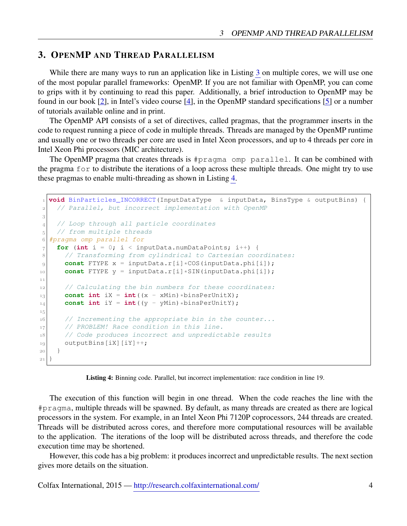# <span id="page-3-0"></span>3. OPENMP AND THREAD PARALLELISM

While there are many ways to run an application like in Listing [3](#page-2-2) on multiple cores, we will use one of the most popular parallel frameworks: OpenMP. If you are not familiar with OpenMP, you can come to grips with it by continuing to read this paper. Additionally, a brief introduction to OpenMP may be found in our book [\[2\]](#page-10-3), in Intel's video course [\[4\]](#page-10-5), in the OpenMP standard specifications [\[5\]](#page-10-6) or a number of tutorials available online and in print.

The OpenMP API consists of a set of directives, called pragmas, that the programmer inserts in the code to request running a piece of code in multiple threads. Threads are managed by the OpenMP runtime and usually one or two threads per core are used in Intel Xeon processors, and up to 4 threads per core in Intel Xeon Phi processors (MIC architecture).

The OpenMP pragma that creates threads is #pragma omp parallel. It can be combined with the pragma for to distribute the iterations of a loop across these multiple threads. One might try to use these pragmas to enable multi-threading as shown in Listing [4.](#page-3-1)

```
 void BinParticles_INCORRECT(InputDataType & inputData, BinsType & outputBins) {
 // Parallel, but incorrect implementation with OpenMP
\sqrt{3} // Loop through all particle coordinates
5 // from multiple threads
 #pragma omp parallel for
\tau for (int i = 0; i < inputData.numDataPoints; i++) {
 // Transforming from cylindrical to Cartesian coordinates:
9 const FTYPE x = inputData.r[i] * COS(inputData.php[i]);10 const FTYPE y = inputData.r[i]*SIN(inputData.php[i]);11|12| // Calculating the bin numbers for these coordinates:
\begin{bmatrix} 13 \end{bmatrix} const int iX = int ((x - xMin) *binsPerUnitX);
|u_4| const int iY = int ((y - yMin) *binsPerUnitY);
1516 // Incrementing the appropriate bin in the counter...
|17| // PROBLEM! Race condition in this line.
 // Code produces incorrect and unpredictable results
_{19} outputBins[iX][iY]++;
\left| \begin{array}{c} 20 \end{array} \right|21}
```
The execution of this function will begin in one thread. When the code reaches the line with the #pragma, multiple threads will be spawned. By default, as many threads are created as there are logical processors in the system. For example, in an Intel Xeon Phi 7120P coprocessors, 244 threads are created. Threads will be distributed across cores, and therefore more computational resources will be available to the application. The iterations of the loop will be distributed across threads, and therefore the code execution time may be shortened.

However, this code has a big problem: it produces incorrect and unpredictable results. The next section gives more details on the situation.

Listing 4: Binning code. Parallel, but incorrect implementation: race condition in line 19.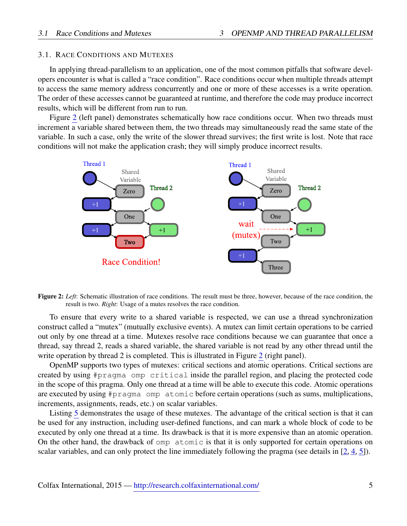# <span id="page-4-0"></span>3.1. RACE CONDITIONS AND MUTEXES

In applying thread-parallelism to an application, one of the most common pitfalls that software developers encounter is what is called a "race condition". Race conditions occur when multiple threads attempt to access the same memory address concurrently and one or more of these accesses is a write operation. The order of these accesses cannot be guaranteed at runtime, and therefore the code may produce incorrect results, which will be different from run to run.

Figure [2](#page-4-1) (left panel) demonstrates schematically how race conditions occur. When two threads must increment a variable shared between them, the two threads may simultaneously read the same state of the variable. In such a case, only the write of the slower thread survives; the first write is lost. Note that race conditions will not make the application crash; they will simply produce incorrect results.

<span id="page-4-1"></span>

Figure 2: *Left*: Schematic illustration of race conditions. The result must be three, however, because of the race condition, the result is two. *Right*: Usage of a mutes resolves the race condition.

To ensure that every write to a shared variable is respected, we can use a thread synchronization construct called a "mutex" (mutually exclusive events). A mutex can limit certain operations to be carried out only by one thread at a time. Mutexes resolve race conditions because we can guarantee that once a thread, say thread 2, reads a shared variable, the shared variable is not read by any other thread until the write operation by thread [2](#page-4-1) is completed. This is illustrated in Figure 2 (right panel).

OpenMP supports two types of mutexes: critical sections and atomic operations. Critical sections are created by using #pragma omp critical inside the parallel region, and placing the protected code in the scope of this pragma. Only one thread at a time will be able to execute this code. Atomic operations are executed by using #pragma omp atomic before certain operations (such as sums, multiplications, increments, assignments, reads, etc.) on scalar variables.

Listing [5](#page-5-0) demonstrates the usage of these mutexes. The advantage of the critical section is that it can be used for any instruction, including user-defined functions, and can mark a whole block of code to be executed by only one thread at a time. Its drawback is that it is more expensive than an atomic operation. On the other hand, the drawback of omp atomic is that it is only supported for certain operations on scalar variables, and can only protect the line immediately following the pragma (see details in [\[2,](#page-10-3) [4,](#page-10-5) [5\]](#page-10-6)).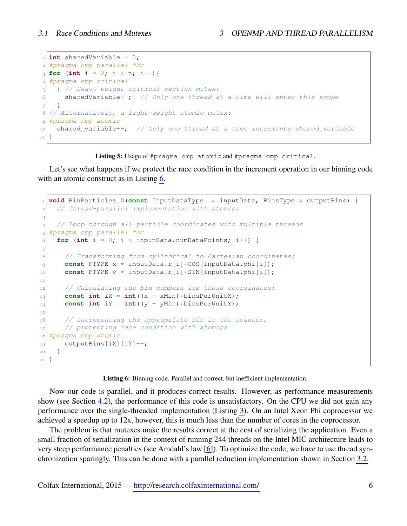```
 int sharedVariable = 0;
 #pragma omp parallel for
_{3} for (int i = 0; i < n; i++){
 #pragma omp critical
5 { // Heavy-weight critical section mutex:
6 sharedVariable++; \frac{1}{2} Only one thread at a time will enter this scope
7}
 // Alternatively, a light-weight atomic mutex:
 #pragma omp atomic
\begin{array}{c|c|c|c|c|c} \text{shared\_variable++} & // Only one thread at a time increments shared\_variable\\ \end{array} }
```
Listing 5: Usage of #pragma omp atomic and #pragma omp critical.

Let's see what happens if we protect the race condition in the increment operation in our binning code with an atomic construct as in Listing [6.](#page-5-1)

```
 void BinParticles_0(const InputDataType & inputData, BinsType & outputBins) {
 // Thread-parallel implementation with atomics
3
 // Loop through all particle coordinates with multiple threads
 #pragma omp parallel for
6 for (int i = 0; i < inputData.numDataPoints; i++) {
\overline{7} // Transforming from cylindrical to Cartesian coordinates:
9 const FTYPE x = inputData.r[i] *COS(inputData.phi[i]);
10 const FTYPE y = inputData.r[i] \starSIN(inputData.phi[i]);
\overline{11}12 // Calculating the bin numbers for these coordinates:
\begin{bmatrix} 13 \end{bmatrix} const int iX = int ((x - xMin) *binsPerUnitX);
|u_4| const int iY = int ((y - yMin) *binsPerUnitY);
1516 // Incrementing the appropriate bin in the counter,
|17| // protecting race condition with atomics
 #pragma omp atomic
_{19} outputBins[iX][iY]++;
20 }
21}
```
Listing 6: Binning code. Parallel and correct, but inefficient implementation.

Now our code is parallel, and it produces correct results. However, as performance measurements show (see Section [4.2\)](#page-8-2), the performance of this code is unsatisfactory. On the CPU we did not gain any performance over the single-threaded implementation (Listing [3\)](#page-2-2). On an Intel Xeon Phi coprocessor we achieved a speedup up to 12x, however, this is much less than the number of cores in the coprocessor.

The problem is that mutexes make the results correct at the cost of serializing the application. Even a small fraction of serialization in the context of running 244 threads on the Intel MIC architecture leads to very steep performance penalties (see Amdahl's law [\[6\]](#page-10-7)). To optimize the code, we have to use thread synchronization sparingly. This can be done with a parallel reduction implementation shown in Section [3.2.](#page-6-0)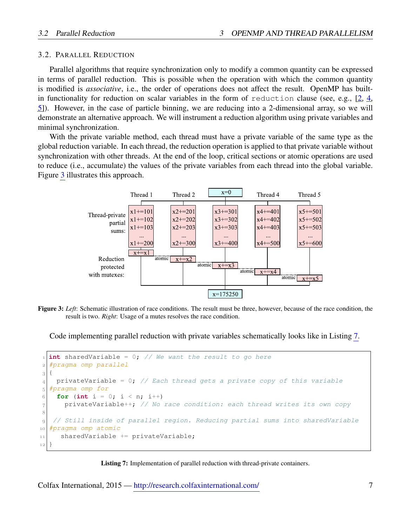## <span id="page-6-0"></span>3.2. PARALLEL REDUCTION

Parallel algorithms that require synchronization only to modify a common quantity can be expressed in terms of parallel reduction. This is possible when the operation with which the common quantity is modified is *associative*, i.e., the order of operations does not affect the result. OpenMP has builtin functionality for reduction on scalar variables in the form of reduction clause (see, e.g., [\[2,](#page-10-3) [4,](#page-10-5) [5\]](#page-10-6)). However, in the case of particle binning, we are reducing into a 2-dimensional array, so we will demonstrate an alternative approach. We will instrument a reduction algorithm using private variables and minimal synchronization.

With the private variable method, each thread must have a private variable of the same type as the global reduction variable. In each thread, the reduction operation is applied to that private variable without synchronization with other threads. At the end of the loop, critical sections or atomic operations are used to reduce (i.e., accumulate) the values of the private variables from each thread into the global variable. Figure [3](#page-6-1) illustrates this approach.

<span id="page-6-1"></span>

Figure 3: *Left*: Schematic illustration of race conditions. The result must be three, however, because of the race condition, the result is two. *Right*: Usage of a mutes resolves the race condition.

Code implementing parallel reduction with private variables schematically looks like in Listing [7.](#page-6-2)

```
 int sharedVariable = 0; // We want the result to go here
 #pragma omp parallel
3 {
4 privateVariable = 0; // Each thread gets a private copy of this variable
 #pragma omp for
6 for (int i = 0; i < n; i++)
privateVariable++; \frac{1}{100} No race condition: each thread writes its own copy
8
_{9} // Still inside of parallel region. Reducing partial sums into sharedVariable
 #pragma omp atomic
_{11} sharedVariable += privateVariable;
12
```
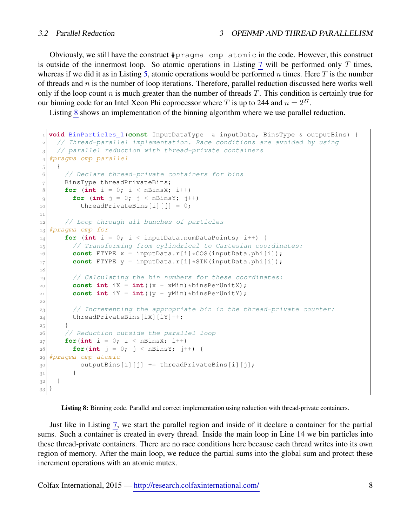Obviously, we still have the construct #pragma omp atomic in the code. However, this construct is outside of the innermost loop. So atomic operations in Listing [7](#page-6-2) will be performed only  $T$  times, whereas if we did it as in Listing [5,](#page-5-0) atomic operations would be performed n times. Here T is the number of threads and  $n$  is the number of loop iterations. Therefore, parallel reduction discussed here works well only if the loop count n is much greater than the number of threads  $T$ . This condition is certainly true for our binning code for an Intel Xeon Phi coprocessor where T is up to 244 and  $n = 2^{27}$ .

Listing [8](#page-7-0) shows an implementation of the binning algorithm where we use parallel reduction.

```
 void BinParticles_1(const InputDataType & inputData, BinsType & outputBins) {
     // Thread-parallel implementation. Race conditions are avoided by using
_3 // parallel reduction with thread-private containers
 #pragma omp parallel
5 \mid \{ // Declare thread-private containers for bins
7 BinsType threadPrivateBins;
8 for (int i = 0; i < nBinsX; i++)
|9| for (int \dot{1} = 0; \dot{1} < \text{nBinsY}; \dot{1}^{++})
_{10} threadPrivateBins[i][j] = 0;
11 // Loop through all bunches of particles
_{13} #pragma omp for
f_{14} for (int i = 0; i < inputData.numDataPoints; i++) {
15 // Transforming from cylindrical to Cartesian coordinates:
\text{const} FTYPE x = \text{inputData.r[i] * COS}(\text{inputData.php[i])};17 const FTYPE y = inputData.r[i]*SIM(inputData.php[i]);^{\rm 18}|19| // Calculating the bin numbers for these coordinates:
|20| const int iX = int ((x - xMin) *binsPerUnitX);
|21| const int iY = int ((y - yMin) *binsPerUnitY);
22
|23| // Incrementing the appropriate bin in the thread-private counter:
|24| threadPrivateBins[iX][iY]++;
25 }
 // Reduction outside the parallel loop
|27| for(int i = 0; i < nBinsX; i++)
\log | for(int \vec{j} = 0; \vec{j} < \text{nBinsY}; \vec{j}++) {
 #pragma omp atomic
_{30} outputBins[i][j] += threadPrivateBins[i][j];
3<sup>1</sup> }
|3^2| }
33
```
Listing 8: Binning code. Parallel and correct implementation using reduction with thread-private containers.

Just like in Listing [7,](#page-6-2) we start the parallel region and inside of it declare a container for the partial sums. Such a container is created in every thread. Inside the main loop in Line 14 we bin particles into these thread-private containers. There are no race conditions here because each thread writes into its own region of memory. After the main loop, we reduce the partial sums into the global sum and protect these increment operations with an atomic mutex.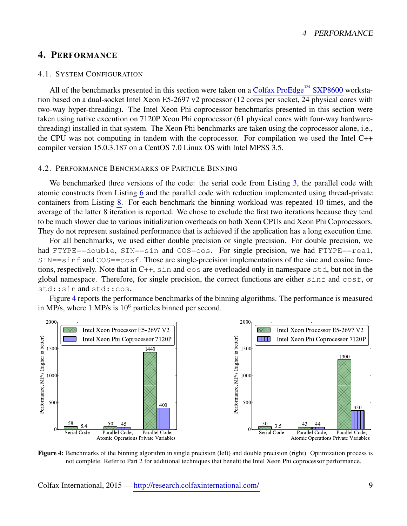# <span id="page-8-0"></span>4. PERFORMANCE

## <span id="page-8-1"></span>4.1. SYSTEM CONFIGURATION

All of the benchmarks presented in this section were taken on a [Colfax ProEdge](http://www.colfax-intl.com/nd/workstations/sxp8600.aspx)<sup>TM</sup> SXP8600 workstation based on a dual-socket Intel Xeon E5-2697 v2 processor (12 cores per socket, 24 physical cores with two-way hyper-threading). The Intel Xeon Phi coprocessor benchmarks presented in this section were taken using native execution on 7120P Xeon Phi coprocessor (61 physical cores with four-way hardwarethreading) installed in that system. The Xeon Phi benchmarks are taken using the coprocessor alone, i.e., the CPU was not computing in tandem with the coprocessor. For compilation we used the Intel C++ compiler version 15.0.3.187 on a CentOS 7.0 Linux OS with Intel MPSS 3.5.

#### <span id="page-8-2"></span>4.2. PERFORMANCE BENCHMARKS OF PARTICLE BINNING

We benchmarked three versions of the code: the serial code from Listing [3,](#page-2-2) the parallel code with atomic constructs from Listing [6](#page-5-1) and the parallel code with reduction implemented using thread-private containers from Listing [8.](#page-7-0) For each benchmark the binning workload was repeated 10 times, and the average of the latter 8 iteration is reported. We chose to exclude the first two iterations because they tend to be much slower due to various initialization overheads on both Xeon CPUs and Xeon Phi Coprocessors. They do not represent sustained performance that is achieved if the application has a long execution time.

For all benchmarks, we used either double precision or single precision. For double precision, we had FTYPE==double, SIN==sin and COS=cos. For single precision, we had FTYPE==real, SIN==sinf and COS==cosf. Those are single-precision implementations of the sine and cosine functions, respectively. Note that in C++, sin and cos are overloaded only in namespace std, but not in the global namespace. Therefore, for single precision, the correct functions are either sinf and cosf, or std::sin and std::cos.

Figure [4](#page-8-3) reports the performance benchmarks of the binning algorithms. The performance is measured in MP/s, where  $1$  MP/s is  $10<sup>6</sup>$  particles binned per second.

<span id="page-8-3"></span>

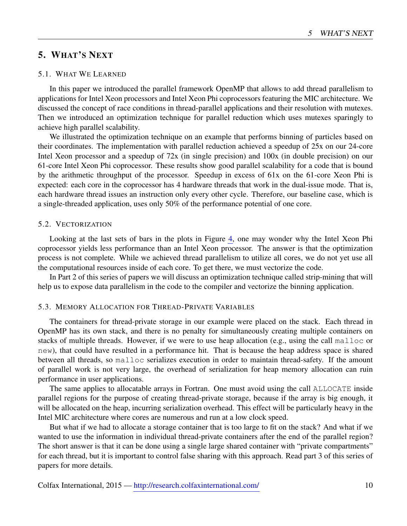# <span id="page-9-0"></span>5. WHAT'S NEXT

## <span id="page-9-1"></span>5.1. WHAT WE LEARNED

In this paper we introduced the parallel framework OpenMP that allows to add thread parallelism to applications for Intel Xeon processors and Intel Xeon Phi coprocessors featuring the MIC architecture. We discussed the concept of race conditions in thread-parallel applications and their resolution with mutexes. Then we introduced an optimization technique for parallel reduction which uses mutexes sparingly to achieve high parallel scalability.

We illustrated the optimization technique on an example that performs binning of particles based on their coordinates. The implementation with parallel reduction achieved a speedup of 25x on our 24-core Intel Xeon processor and a speedup of 72x (in single precision) and 100x (in double precision) on our 61-core Intel Xeon Phi coprocessor. These results show good parallel scalability for a code that is bound by the arithmetic throughput of the processor. Speedup in excess of 61x on the 61-core Xeon Phi is expected: each core in the coprocessor has 4 hardware threads that work in the dual-issue mode. That is, each hardware thread issues an instruction only every other cycle. Therefore, our baseline case, which is a single-threaded application, uses only 50% of the performance potential of one core.

#### <span id="page-9-2"></span>5.2. VECTORIZATION

Looking at the last sets of bars in the plots in Figure [4,](#page-8-3) one may wonder why the Intel Xeon Phi coprocessor yields less performance than an Intel Xeon processor. The answer is that the optimization process is not complete. While we achieved thread parallelism to utilize all cores, we do not yet use all the computational resources inside of each core. To get there, we must vectorize the code.

In Part 2 of this series of papers we will discuss an optimization technique called strip-mining that will help us to expose data parallelism in the code to the compiler and vectorize the binning application.

#### <span id="page-9-3"></span>5.3. MEMORY ALLOCATION FOR THREAD-PRIVATE VARIABLES

The containers for thread-private storage in our example were placed on the stack. Each thread in OpenMP has its own stack, and there is no penalty for simultaneously creating multiple containers on stacks of multiple threads. However, if we were to use heap allocation (e.g., using the call malloc or new), that could have resulted in a performance hit. That is because the heap address space is shared between all threads, so malloc serializes execution in order to maintain thread-safety. If the amount of parallel work is not very large, the overhead of serialization for heap memory allocation can ruin performance in user applications.

The same applies to allocatable arrays in Fortran. One must avoid using the call ALLOCATE inside parallel regions for the purpose of creating thread-private storage, because if the array is big enough, it will be allocated on the heap, incurring serialization overhead. This effect will be particularly heavy in the Intel MIC architecture where cores are numerous and run at a low clock speed.

But what if we had to allocate a storage container that is too large to fit on the stack? And what if we wanted to use the information in individual thread-private containers after the end of the parallel region? The short answer is that it can be done using a single large shared container with "private compartments" for each thread, but it is important to control false sharing with this approach. Read part 3 of this series of papers for more details.